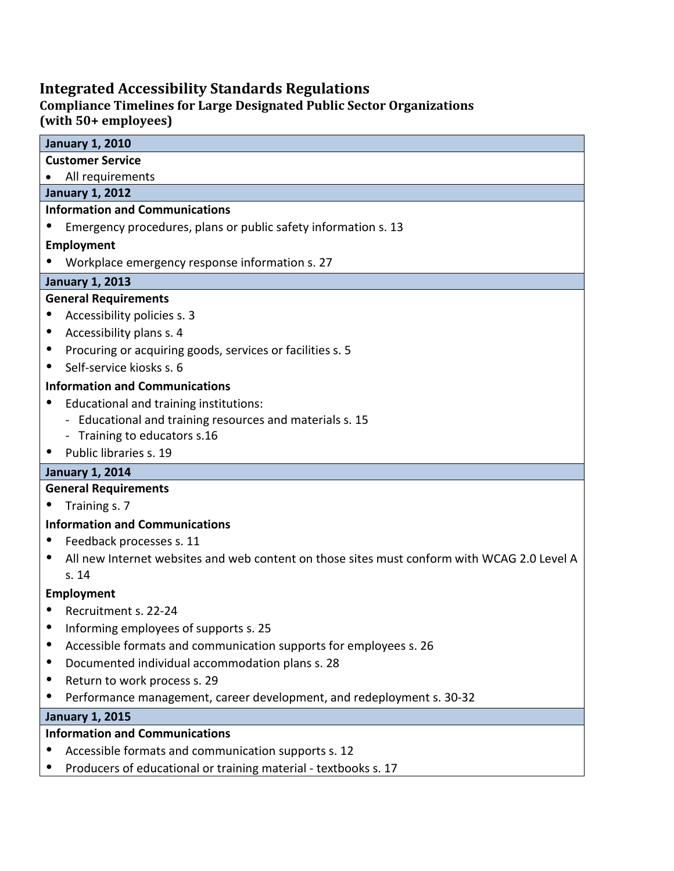# **Integrated Accessibility Standards Regulations**

# **Compliance Timelines for Large Designated Public Sector Organizations (with 50+ employees)**

| <b>January 1, 2010</b>                                                                      |
|---------------------------------------------------------------------------------------------|
| <b>Customer Service</b>                                                                     |
| All requirements                                                                            |
| <b>January 1, 2012</b>                                                                      |
| <b>Information and Communications</b>                                                       |
| Emergency procedures, plans or public safety information s. 13                              |
| <b>Employment</b>                                                                           |
| Workplace emergency response information s. 27                                              |
| <b>January 1, 2013</b>                                                                      |
| <b>General Requirements</b>                                                                 |
| Accessibility policies s. 3                                                                 |
| Accessibility plans s. 4                                                                    |
| Procuring or acquiring goods, services or facilities s. 5                                   |
| Self-service kiosks s. 6                                                                    |
| <b>Information and Communications</b>                                                       |
| Educational and training institutions:                                                      |
| - Educational and training resources and materials s. 15                                    |
| - Training to educators s.16                                                                |
| Public libraries s. 19                                                                      |
| <b>January 1, 2014</b>                                                                      |
| <b>General Requirements</b>                                                                 |
| Training s. 7                                                                               |
| <b>Information and Communications</b>                                                       |
| Feedback processes s. 11                                                                    |
| All new Internet websites and web content on those sites must conform with WCAG 2.0 Level A |
| s.14                                                                                        |
| Employment                                                                                  |
| Recruitment s. 22-24                                                                        |
| Informing employees of supports s. 25                                                       |
| Accessible formats and communication supports for employees s. 26                           |
| Documented individual accommodation plans s. 28                                             |
| Return to work process s. 29<br>$\bullet$                                                   |
| Performance management, career development, and redeployment s. 30-32                       |
| <b>January 1, 2015</b>                                                                      |
| <b>Information and Communications</b>                                                       |
| Accessible formats and communication supports s. 12                                         |

• Producers of educational or training material - textbooks s. 17